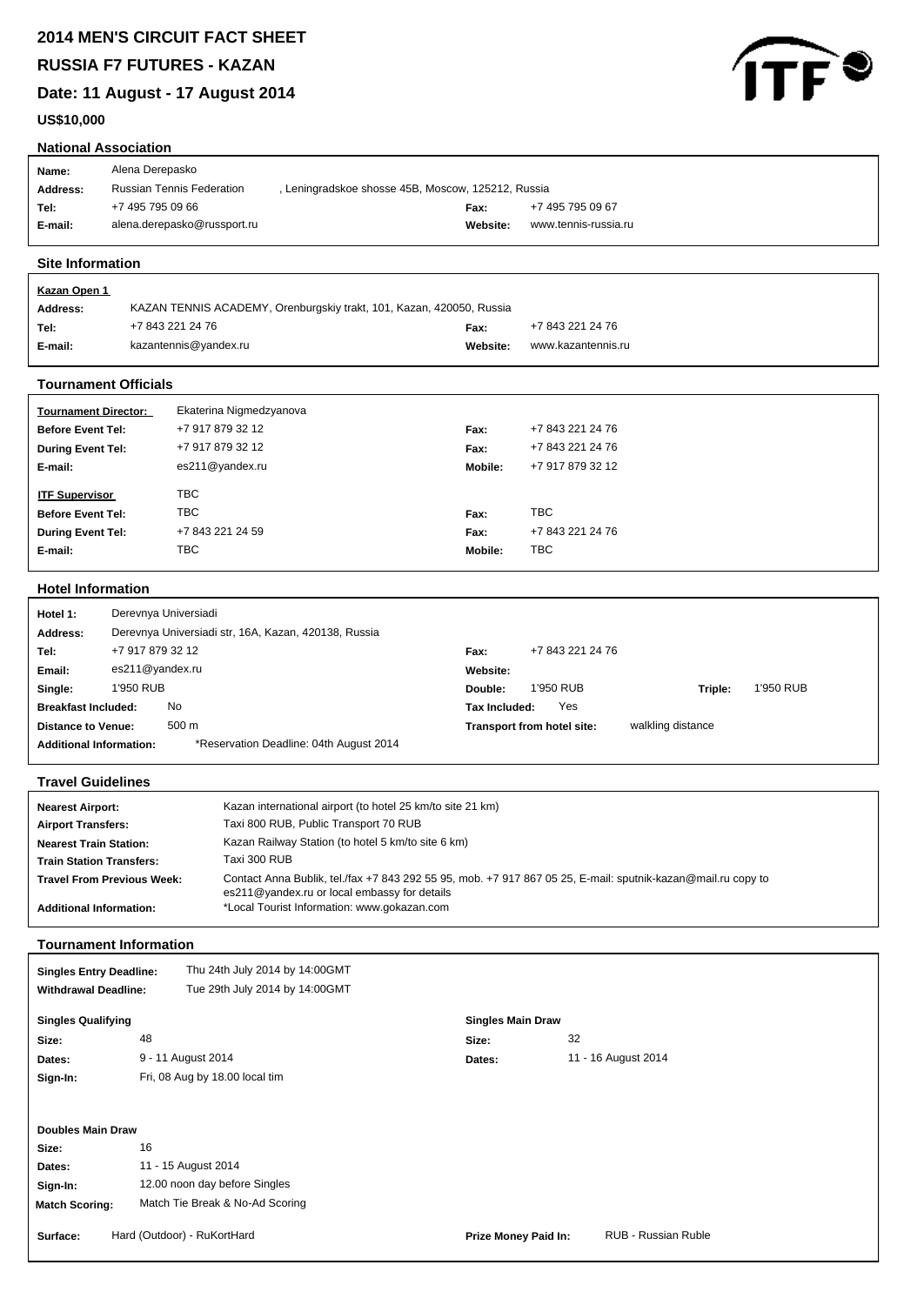**RUSSIA F7 FUTURES - KAZAN**

**Date: 11 August - 17 August 2014**



| US\$10,000                                                                                                                                                                                        |                                                                                        |               |                                                 |  |  |  |
|---------------------------------------------------------------------------------------------------------------------------------------------------------------------------------------------------|----------------------------------------------------------------------------------------|---------------|-------------------------------------------------|--|--|--|
| <b>National Association</b>                                                                                                                                                                       |                                                                                        |               |                                                 |  |  |  |
| Alena Derepasko<br>Name:                                                                                                                                                                          |                                                                                        |               |                                                 |  |  |  |
| Address:                                                                                                                                                                                          | <b>Russian Tennis Federation</b><br>, Leningradskoe shosse 45B, Moscow, 125212, Russia |               |                                                 |  |  |  |
| +7 495 795 09 66<br>Tel:                                                                                                                                                                          |                                                                                        | Fax:          | +7 495 795 09 67                                |  |  |  |
| E-mail:                                                                                                                                                                                           | alena.derepasko@russport.ru                                                            | Website:      | www.tennis-russia.ru                            |  |  |  |
|                                                                                                                                                                                                   |                                                                                        |               |                                                 |  |  |  |
| <b>Site Information</b>                                                                                                                                                                           |                                                                                        |               |                                                 |  |  |  |
| <b>Kazan Open 1</b>                                                                                                                                                                               |                                                                                        |               |                                                 |  |  |  |
| <b>Address:</b>                                                                                                                                                                                   | KAZAN TENNIS ACADEMY, Orenburgskiy trakt, 101, Kazan, 420050, Russia                   |               |                                                 |  |  |  |
| Tel:                                                                                                                                                                                              | +7 843 221 24 76                                                                       | Fax:          | +7 843 221 24 76                                |  |  |  |
| E-mail:                                                                                                                                                                                           | kazantennis@yandex.ru                                                                  | Website:      | www.kazantennis.ru                              |  |  |  |
| <b>Tournament Officials</b>                                                                                                                                                                       |                                                                                        |               |                                                 |  |  |  |
| <b>Tournament Director:</b>                                                                                                                                                                       | Ekaterina Nigmedzyanova                                                                |               |                                                 |  |  |  |
| <b>Before Event Tel:</b>                                                                                                                                                                          | +7 917 879 32 12                                                                       | Fax:          | +7 843 221 24 76                                |  |  |  |
| <b>During Event Tel:</b>                                                                                                                                                                          | +7 917 879 32 12                                                                       | Fax:          | +7 843 221 24 76                                |  |  |  |
| E-mail:                                                                                                                                                                                           | es211@yandex.ru                                                                        | Mobile:       | +7 917 879 32 12                                |  |  |  |
| <b>ITF Supervisor</b>                                                                                                                                                                             | <b>TBC</b>                                                                             |               |                                                 |  |  |  |
| <b>Before Event Tel:</b>                                                                                                                                                                          | <b>TBC</b>                                                                             | Fax:          | <b>TBC</b>                                      |  |  |  |
| <b>During Event Tel:</b>                                                                                                                                                                          | +7 843 221 24 59                                                                       | Fax:          | +7 843 221 24 76                                |  |  |  |
| E-mail:                                                                                                                                                                                           | <b>TBC</b>                                                                             | Mobile:       | <b>TBC</b>                                      |  |  |  |
|                                                                                                                                                                                                   |                                                                                        |               |                                                 |  |  |  |
| <b>Hotel Information</b>                                                                                                                                                                          |                                                                                        |               |                                                 |  |  |  |
| Derevnya Universiadi<br>Hotel 1:                                                                                                                                                                  |                                                                                        |               |                                                 |  |  |  |
| <b>Address:</b>                                                                                                                                                                                   | Derevnya Universiadi str, 16A, Kazan, 420138, Russia                                   |               |                                                 |  |  |  |
| +7 917 879 32 12<br>Tel:                                                                                                                                                                          |                                                                                        | Fax:          | +7 843 221 24 76                                |  |  |  |
| es211@yandex.ru<br>Email:                                                                                                                                                                         |                                                                                        | Website:      |                                                 |  |  |  |
| 1'950 RUB<br>Single:                                                                                                                                                                              |                                                                                        | Double:       | 1'950 RUB<br>1'950 RUB<br>Triple:               |  |  |  |
| <b>Breakfast Included:</b>                                                                                                                                                                        | No<br>500 m                                                                            | Tax Included: | Yes                                             |  |  |  |
| <b>Distance to Venue:</b><br><b>Additional Information:</b>                                                                                                                                       | *Reservation Deadline: 04th August 2014                                                |               | walkling distance<br>Transport from hotel site: |  |  |  |
|                                                                                                                                                                                                   |                                                                                        |               |                                                 |  |  |  |
| <b>Travel Guidelines</b>                                                                                                                                                                          |                                                                                        |               |                                                 |  |  |  |
| Kazan international airport (to hotel 25 km/to site 21 km)<br><b>Nearest Airport:</b>                                                                                                             |                                                                                        |               |                                                 |  |  |  |
| <b>Airport Transfers:</b>                                                                                                                                                                         | Taxi 800 RUB, Public Transport 70 RUB                                                  |               |                                                 |  |  |  |
| <b>Nearest Train Station:</b>                                                                                                                                                                     | Kazan Railway Station (to hotel 5 km/to site 6 km)                                     |               |                                                 |  |  |  |
| <b>Train Station Transfers:</b>                                                                                                                                                                   | Taxi 300 RUB                                                                           |               |                                                 |  |  |  |
| Contact Anna Bublik, tel./fax +7 843 292 55 95, mob. +7 917 867 05 25, E-mail: sputnik-kazan@mail.ru copy to<br><b>Travel From Previous Week:</b><br>es211@yandex.ru or local embassy for details |                                                                                        |               |                                                 |  |  |  |
| *Local Tourist Information: www.gokazan.com<br><b>Additional Information:</b>                                                                                                                     |                                                                                        |               |                                                 |  |  |  |
|                                                                                                                                                                                                   |                                                                                        |               |                                                 |  |  |  |
| <b>Tournament Information</b>                                                                                                                                                                     |                                                                                        |               |                                                 |  |  |  |
| <b>Singles Entry Deadline:</b>                                                                                                                                                                    | Thu 24th July 2014 by 14:00GMT                                                         |               |                                                 |  |  |  |
| <b>Withdrawal Deadline:</b>                                                                                                                                                                       | Tue 29th July 2014 by 14:00GMT                                                         |               |                                                 |  |  |  |

| WILIUI AWAI DEAUIIIE.     | $100$ 2001 001 $\mu$ 201 $\pm$ 0 $\mu$ 1 $\pm$ 0001 $\mu$ 1 |                             |                            |
|---------------------------|-------------------------------------------------------------|-----------------------------|----------------------------|
| <b>Singles Qualifying</b> |                                                             | <b>Singles Main Draw</b>    |                            |
| Size:                     | 48                                                          | 32<br>Size:                 |                            |
| Dates:                    | 9 - 11 August 2014                                          | Dates:                      | 11 - 16 August 2014        |
| Sign-In:                  | Fri, 08 Aug by 18.00 local tim                              |                             |                            |
|                           |                                                             |                             |                            |
| <b>Doubles Main Draw</b>  |                                                             |                             |                            |
| Size:                     | 16                                                          |                             |                            |
| Dates:                    | 11 - 15 August 2014                                         |                             |                            |
| Sign-In:                  | 12.00 noon day before Singles                               |                             |                            |
| <b>Match Scoring:</b>     | Match Tie Break & No-Ad Scoring                             |                             |                            |
| Surface:                  | Hard (Outdoor) - RuKortHard                                 | <b>Prize Money Paid In:</b> | <b>RUB - Russian Ruble</b> |
|                           |                                                             |                             |                            |